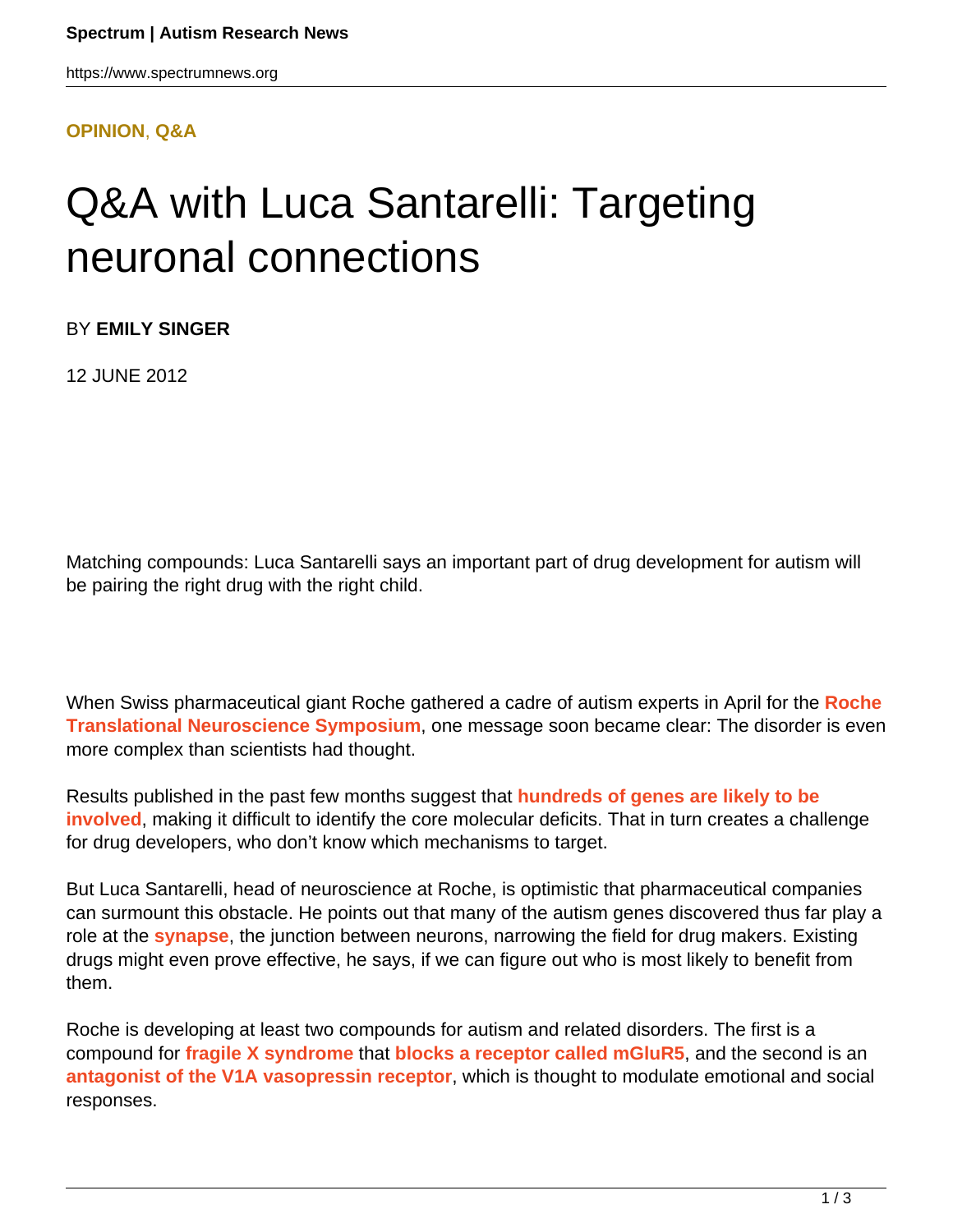#### **[OPINION](HTTPS://WWW.SPECTRUMNEWS.ORG/OPINION/)**, **[Q&A](HTTPS://WWW.SPECTRUMNEWS.ORG/OPINION/Q-AND-A/)**

# Q&A with Luca Santarelli: Targeting neuronal connections

BY **EMILY SINGER**

12 JUNE 2012

Matching compounds: Luca Santarelli says an important part of drug development for autism will be pairing the right drug with the right child.

When Swiss pharmaceutical giant Roche gathered a cadre of autism experts in April for the **[Roche](https://www.spectrumnews.org/conference-news/2012/roche-translational-neuroscience-symposium) [Translational Neuroscience Symposium](https://www.spectrumnews.org/conference-news/2012/roche-translational-neuroscience-symposium)**, one message soon became clear: The disorder is even more complex than scientists had thought.

Results published in the past few months suggest that **[hundreds of genes are likely to be](https://www.spectrumnews.org/news/2012/hundreds-of-genes-involved-in-autism-sequencing-studies-say) [involved](https://www.spectrumnews.org/news/2012/hundreds-of-genes-involved-in-autism-sequencing-studies-say)**, making it difficult to identify the core molecular deficits. That in turn creates a challenge for drug developers, who don't know which mechanisms to target.

But Luca Santarelli, head of neuroscience at Roche, is optimistic that pharmaceutical companies can surmount this obstacle. He points out that many of the autism genes discovered thus far play a role at the **[synapse](../../../resources/sfari-wiki/synapse)**, the junction between neurons, narrowing the field for drug makers. Existing drugs might even prove effective, he says, if we can figure out who is most likely to benefit from them.

Roche is developing at least two compounds for autism and related disorders. The first is a compound for **[fragile X syndrome](../../../resources/sfari-wiki/fragile-x)** that **[blocks a receptor called mGluR5](https://www.spectrumnews.org/news/2012/studies-highlight-promise-of-fragile-x-treatment)**, and the second is an **[antagonist of the V1A vasopressin receptor](http://clinicaltrials.gov/ct2/show/NCT01474278)**, which is thought to modulate emotional and social responses.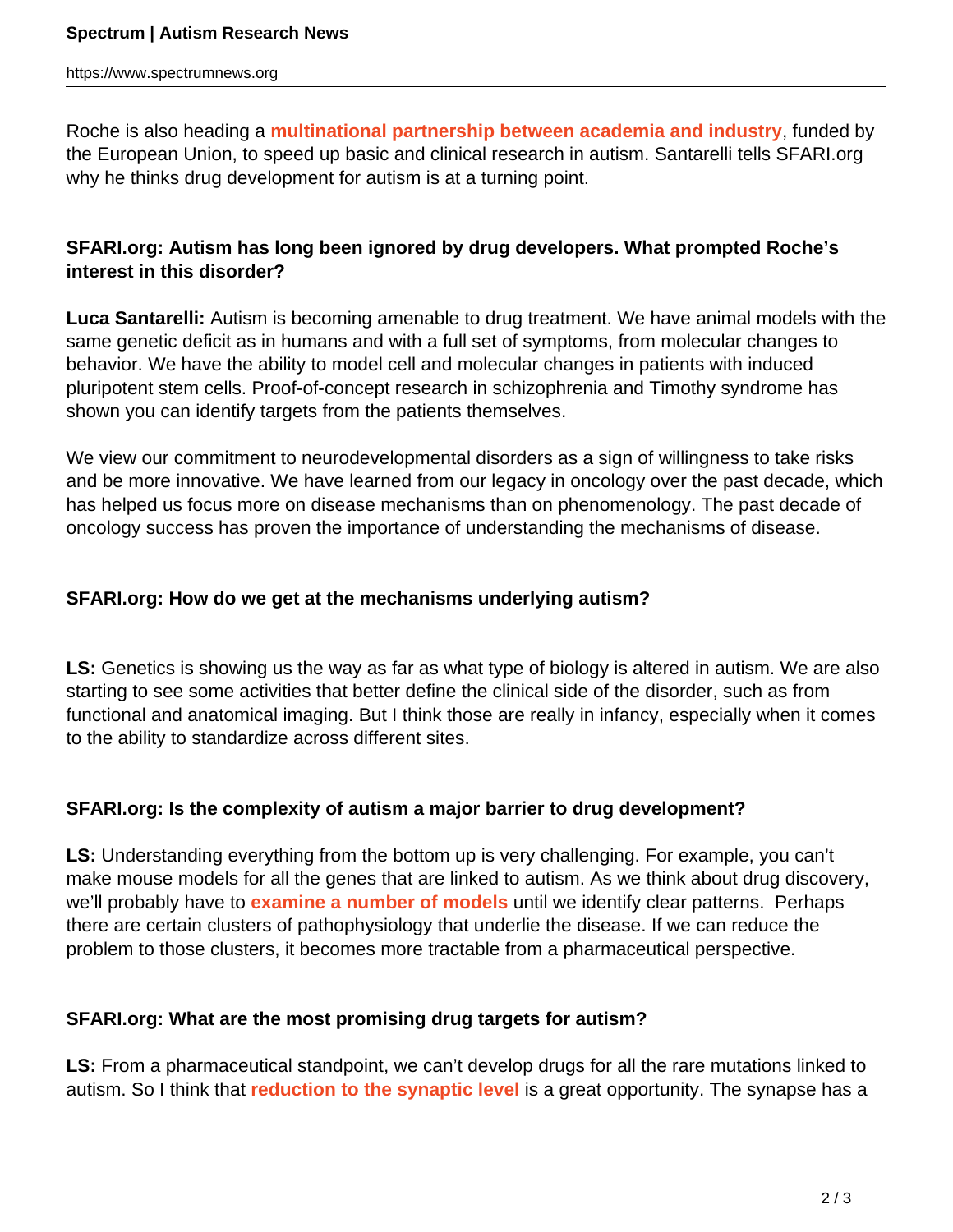Roche is also heading a **[multinational partnership between academia and industry](https://www.spectrumnews.org/news/2012/european-consortium-strives-to-spur-autism-drug-development)**, funded by the European Union, to speed up basic and clinical research in autism. Santarelli tells SFARI.org why he thinks drug development for autism is at a turning point.

## **SFARI.org: Autism has long been ignored by drug developers. What prompted Roche's interest in this disorder?**

**Luca Santarelli:** Autism is becoming amenable to drug treatment. We have animal models with the same genetic deficit as in humans and with a full set of symptoms, from molecular changes to behavior. We have the ability to model cell and molecular changes in patients with induced pluripotent stem cells. Proof-of-concept research in schizophrenia and Timothy syndrome has shown you can identify targets from the patients themselves.

We view our commitment to neurodevelopmental disorders as a sign of willingness to take risks and be more innovative. We have learned from our legacy in oncology over the past decade, which has helped us focus more on disease mechanisms than on phenomenology. The past decade of oncology success has proven the importance of understanding the mechanisms of disease.

#### **SFARI.org: How do we get at the mechanisms underlying autism?**

**LS:** Genetics is showing us the way as far as what type of biology is altered in autism. We are also starting to see some activities that better define the clinical side of the disorder, such as from functional and anatomical imaging. But I think those are really in infancy, especially when it comes to the ability to standardize across different sites.

## **SFARI.org: Is the complexity of autism a major barrier to drug development?**

**LS:** Understanding everything from the bottom up is very challenging. For example, you can't make mouse models for all the genes that are linked to autism. As we think about drug discovery, we'll probably have to **[examine a number of models](https://www.spectrumnews.org/viewpoint/2011/promises-and-limitations-of-mouse-models-of-autism)** until we identify clear patterns. Perhaps there are certain clusters of pathophysiology that underlie the disease. If we can reduce the problem to those clusters, it becomes more tractable from a pharmaceutical perspective.

## **SFARI.org: What are the most promising drug targets for autism?**

**LS:** From a pharmaceutical standpoint, we can't develop drugs for all the rare mutations linked to autism. So I think that **[reduction to the synaptic level](https://www.spectrumnews.org/news/2010/synaptic-defects-link-autism-schizophrenia)** is a great opportunity. The synapse has a